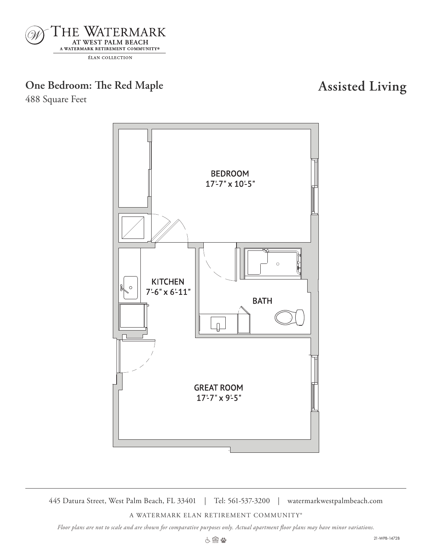

## **One Bedroom: The Red Maple Assisted Living**

488 Square Feet



445 Datura Street, West Palm Beach, FL 33401 | Tel: 561-537-3200 | watermarkwestpalmbeach.com

A WATERMARK ELAN RETIREMENT COMMUNITY®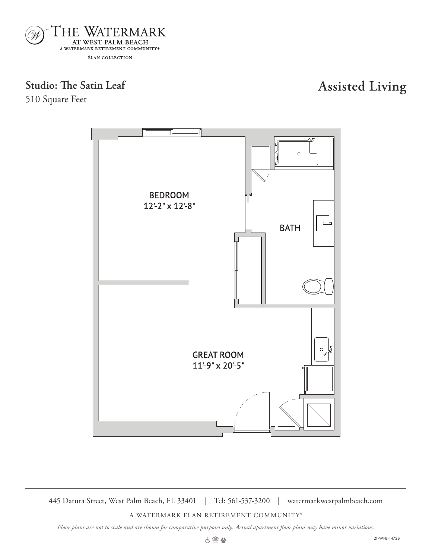

# **Studio: The Satin Leaf Assisted Living**

510 Square Feet



445 Datura Street, West Palm Beach, FL 33401 | Tel: 561-537-3200 | watermarkwestpalmbeach.com

A WATERMARK ELAN RETIREMENT COMMUNITY®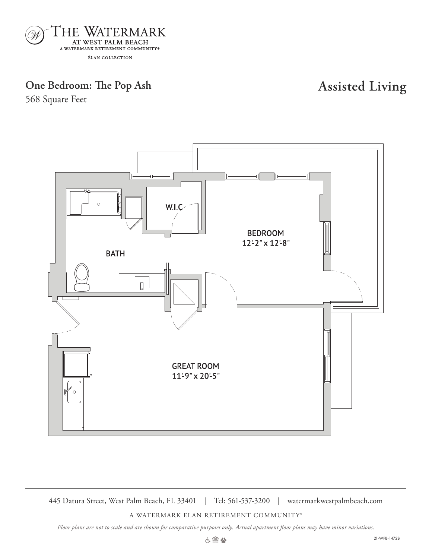

## **One Bedroom: The Pop Ash Assisted Living**

568 Square Feet



445 Datura Street, West Palm Beach, FL 33401 | Tel: 561-537-3200 | watermarkwestpalmbeach.com

A WATERMARK ELAN RETIREMENT COMMUNITY®